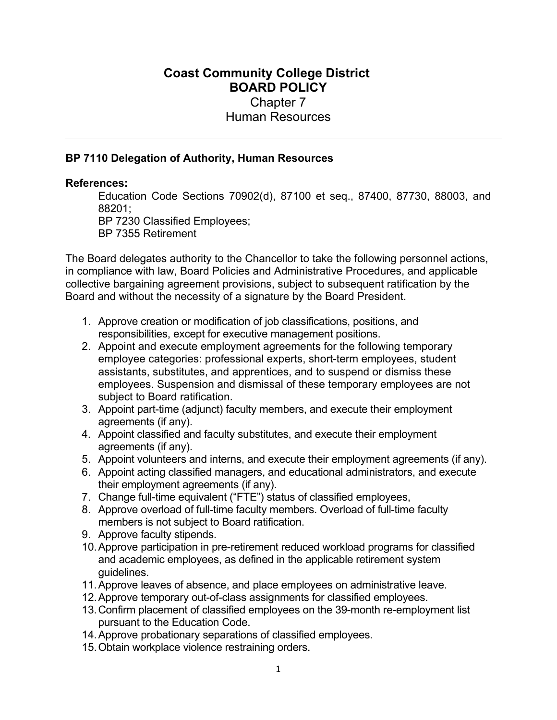## **Coast Community College District BOARD POLICY** Chapter 7 Human Resources

## **BP 7110 Delegation of Authority, Human Resources**

## **References:**

Education Code Sections 70902(d), 87100 et seq., 87400, 87730, 88003, and 88201;

BP 7230 Classified Employees;

BP 7355 Retirement

The Board delegates authority to the Chancellor to take the following personnel actions, in compliance with law, Board Policies and Administrative Procedures, and applicable collective bargaining agreement provisions, subject to subsequent ratification by the Board and without the necessity of a signature by the Board President.

- 1. Approve creation or modification of job classifications, positions, and responsibilities, except for executive management positions.
- 2. Appoint and execute employment agreements for the following temporary employee categories: professional experts, short-term employees, student assistants, substitutes, and apprentices, and to suspend or dismiss these employees. Suspension and dismissal of these temporary employees are not subject to Board ratification.
- 3. Appoint part-time (adjunct) faculty members, and execute their employment agreements (if any).
- 4. Appoint classified and faculty substitutes, and execute their employment agreements (if any).
- 5. Appoint volunteers and interns, and execute their employment agreements (if any).
- 6. Appoint acting classified managers, and educational administrators, and execute their employment agreements (if any).
- 7. Change full-time equivalent ("FTE") status of classified employees,
- 8. Approve overload of full-time faculty members. Overload of full-time faculty members is not subject to Board ratification.
- 9. Approve faculty stipends.
- 10. Approve participation in pre-retirement reduced workload programs for classified and academic employees, as defined in the applicable retirement system guidelines.
- 11. Approve leaves of absence, and place employees on administrative leave.
- 12. Approve temporary out-of-class assignments for classified employees.
- 13. Confirm placement of classified employees on the 39-month re-employment list pursuant to the Education Code.
- 14. Approve probationary separations of classified employees.
- 15. Obtain workplace violence restraining orders.